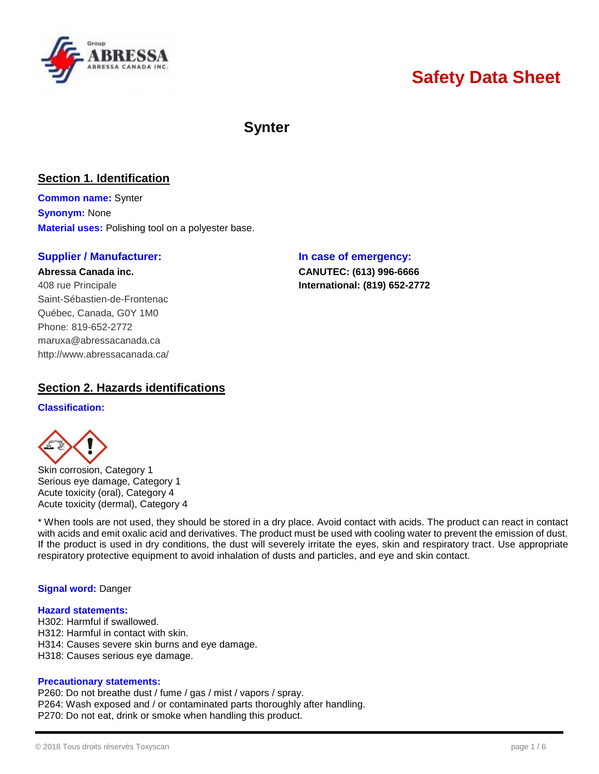

# **Safety Data Sheet**

## **Synter**

## **Section 1. Identification**

**Common name:** Synter **Synonym:** None **Material uses:** Polishing tool on a polyester base.

## **Supplier / Manufacturer: In case of emergency:**

**Abressa Canada inc. CANUTEC: (613) 996-6666** 408 rue Principale **International: (819) 652-2772** Saint-Sébastien-de-Frontenac Québec, Canada, G0Y 1M0 Phone: 819-652-2772 [maruxa@abressacanada.ca](mailto:maruxa@abressacanada.ca) <http://www.abressacanada.ca/>

## **Section 2. Hazards identifications**

#### **Classification:**



Skin corrosion, Category 1 Serious eye damage, Category 1 Acute toxicity (oral), Category 4 Acute toxicity (dermal), Category 4

\* When tools are not used, they should be stored in a dry place. Avoid contact with acids. The product can react in contact with acids and emit oxalic acid and derivatives. The product must be used with cooling water to prevent the emission of dust. If the product is used in dry conditions, the dust will severely irritate the eyes, skin and respiratory tract. Use appropriate respiratory protective equipment to avoid inhalation of dusts and particles, and eye and skin contact.

## **Signal word:** Danger

#### **Hazard statements:**

- H302: Harmful if swallowed.
- H312: Harmful in contact with skin.
- H314: Causes severe skin burns and eye damage.
- H318: Causes serious eye damage.

## **Precautionary statements:**

P260: Do not breathe dust / fume / gas / mist / vapors / spray. P264: Wash exposed and / or contaminated parts thoroughly after handling. P270: Do not eat, drink or smoke when handling this product.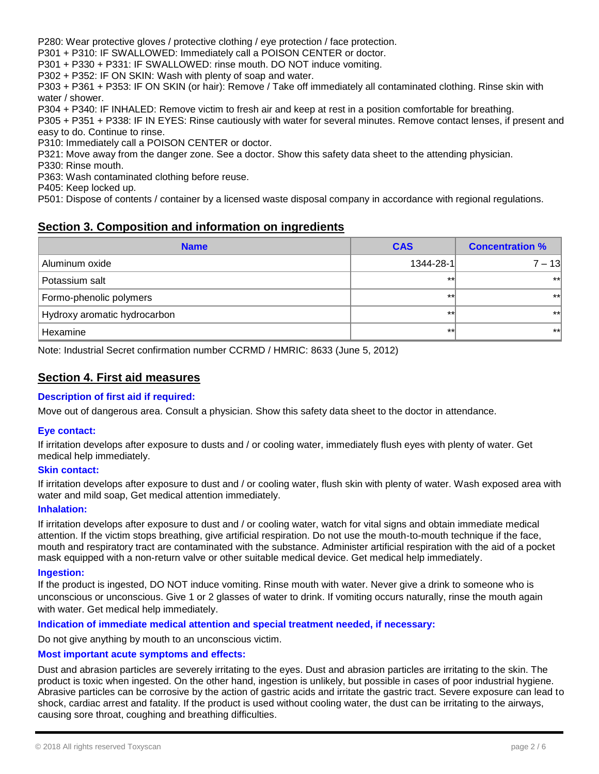P280: Wear protective gloves / protective clothing / eye protection / face protection.

P301 + P310: IF SWALLOWED: Immediately call a POISON CENTER or doctor.

P301 + P330 + P331: IF SWALLOWED: rinse mouth. DO NOT induce vomiting.

P302 + P352: IF ON SKIN: Wash with plenty of soap and water.

P303 + P361 + P353: IF ON SKIN (or hair): Remove / Take off immediately all contaminated clothing. Rinse skin with water / shower.

P304 + P340: IF INHALED: Remove victim to fresh air and keep at rest in a position comfortable for breathing.

P305 + P351 + P338: IF IN EYES: Rinse cautiously with water for several minutes. Remove contact lenses, if present and easy to do. Continue to rinse.

P310: Immediately call a POISON CENTER or doctor.

P321: Move away from the danger zone. See a doctor. Show this safety data sheet to the attending physician.

P330: Rinse mouth.

P363: Wash contaminated clothing before reuse.

P405: Keep locked up.

P501: Dispose of contents / container by a licensed waste disposal company in accordance with regional regulations.

## **Section 3. Composition and information on ingredients**

| <b>Name</b>                  | <b>CAS</b> | <b>Concentration %</b> |  |
|------------------------------|------------|------------------------|--|
| Aluminum oxide               | 1344-28-1  | $7 - 13$               |  |
| Potassium salt               | $**$       | $**$                   |  |
| Formo-phenolic polymers      | $**$       | $***$                  |  |
| Hydroxy aromatic hydrocarbon | $+1$       | $**$                   |  |
| Hexamine                     | $**$       | $***$                  |  |

Note: Industrial Secret confirmation number CCRMD / HMRIC: 8633 (June 5, 2012)

## **Section 4. First aid measures**

#### **Description of first aid if required:**

Move out of dangerous area. Consult a physician. Show this safety data sheet to the doctor in attendance.

#### **Eye contact:**

If irritation develops after exposure to dusts and / or cooling water, immediately flush eyes with plenty of water. Get medical help immediately.

#### **Skin contact:**

If irritation develops after exposure to dust and / or cooling water, flush skin with plenty of water. Wash exposed area with water and mild soap, Get medical attention immediately.

#### **Inhalation:**

If irritation develops after exposure to dust and / or cooling water, watch for vital signs and obtain immediate medical attention. If the victim stops breathing, give artificial respiration. Do not use the mouth-to-mouth technique if the face, mouth and respiratory tract are contaminated with the substance. Administer artificial respiration with the aid of a pocket mask equipped with a non-return valve or other suitable medical device. Get medical help immediately.

#### **Ingestion:**

If the product is ingested, DO NOT induce vomiting. Rinse mouth with water. Never give a drink to someone who is unconscious or unconscious. Give 1 or 2 glasses of water to drink. If vomiting occurs naturally, rinse the mouth again with water. Get medical help immediately.

## **Indication of immediate medical attention and special treatment needed, if necessary:**

Do not give anything by mouth to an unconscious victim.

#### **Most important acute symptoms and effects:**

Dust and abrasion particles are severely irritating to the eyes. Dust and abrasion particles are irritating to the skin. The product is toxic when ingested. On the other hand, ingestion is unlikely, but possible in cases of poor industrial hygiene. Abrasive particles can be corrosive by the action of gastric acids and irritate the gastric tract. Severe exposure can lead to shock, cardiac arrest and fatality. If the product is used without cooling water, the dust can be irritating to the airways, causing sore throat, coughing and breathing difficulties.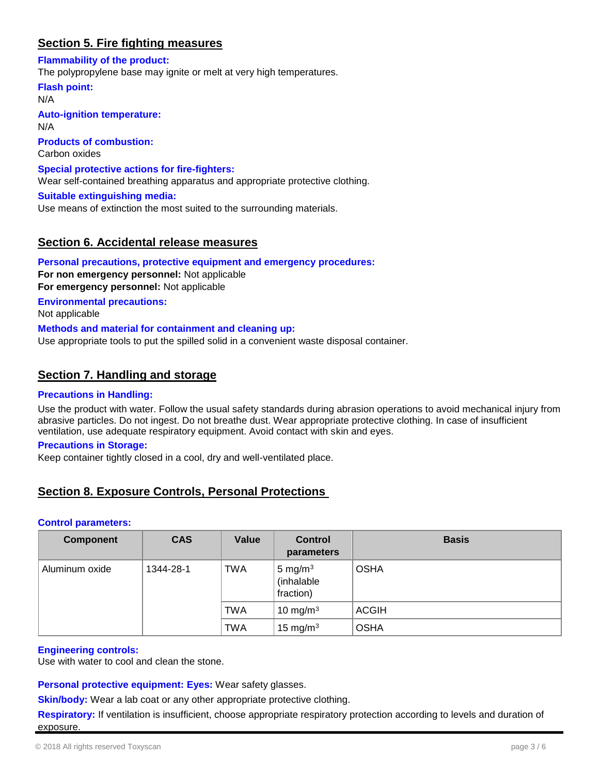## **Section 5. Fire fighting measures**

**Flammability of the product:**

The polypropylene base may ignite or melt at very high temperatures.

**Flash point:** N/A **Auto-ignition temperature:** N/A **Products of combustion:** Carbon oxides **Special protective actions for fire-fighters:** Wear self-contained breathing apparatus and appropriate protective clothing. **Suitable extinguishing media:** Use means of extinction the most suited to the surrounding materials.

## **Section 6. Accidental release measures**

**Personal precautions, protective equipment and emergency procedures: For non emergency personnel:** Not applicable **For emergency personnel:** Not applicable **Environmental precautions:** Not applicable **Methods and material for containment and cleaning up:** Use appropriate tools to put the spilled solid in a convenient waste disposal container.

## **Section 7. Handling and storage**

#### **Precautions in Handling:**

Use the product with water. Follow the usual safety standards during abrasion operations to avoid mechanical injury from abrasive particles. Do not ingest. Do not breathe dust. Wear appropriate protective clothing. In case of insufficient ventilation, use adequate respiratory equipment. Avoid contact with skin and eyes.

#### **Precautions in Storage:**

Keep container tightly closed in a cool, dry and well-ventilated place.

## **Section 8. Exposure Controls, Personal Protections**

#### **Control parameters:**

| <b>Component</b> | <b>CAS</b> | <b>Value</b> | <b>Control</b><br>parameters          | <b>Basis</b> |
|------------------|------------|--------------|---------------------------------------|--------------|
| Aluminum oxide   | 1344-28-1  | TWA          | 5 mg/m $3$<br>(inhalable<br>fraction) | <b>OSHA</b>  |
|                  |            | TWA          | 10 mg/m $3$                           | <b>ACGIH</b> |
|                  |            | TWA          | 15 mg/m $3$                           | <b>OSHA</b>  |

#### **Engineering controls:**

Use with water to cool and clean the stone.

**Personal protective equipment: Eyes:** Wear safety glasses.

**Skin/body:** Wear a lab coat or any other appropriate protective clothing.

**Respiratory:** If ventilation is insufficient, choose appropriate respiratory protection according to levels and duration of exposure.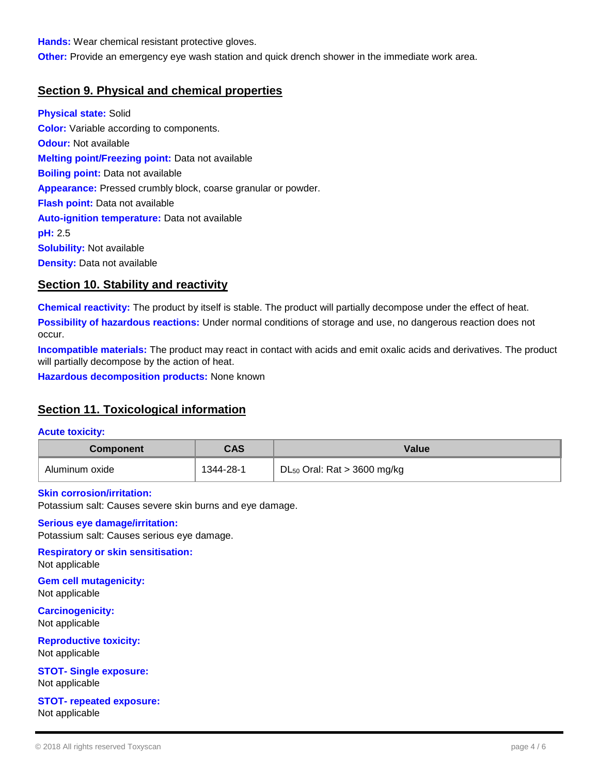**Hands:** Wear chemical resistant protective gloves.

**Other:** Provide an emergency eye wash station and quick drench shower in the immediate work area.

## **Section 9. Physical and chemical properties**

**Physical state:** Solid **Color:** Variable according to components. **Odour:** Not available **Melting point/Freezing point:** Data not available **Boiling point:** Data not available **Appearance:** Pressed crumbly block, coarse granular or powder. **Flash point:** Data not available **Auto-ignition temperature:** Data not available **pH:** 2.5 **Solubility:** Not available **Density:** Data not available

## **Section 10. Stability and reactivity**

**Chemical reactivity:** The product by itself is stable. The product will partially decompose under the effect of heat. **Possibility of hazardous reactions:** Under normal conditions of storage and use, no dangerous reaction does not occur.

**Incompatible materials:** The product may react in contact with acids and emit oxalic acids and derivatives. The product will partially decompose by the action of heat.

**Hazardous decomposition products:** None known

## **Section 11. Toxicological information**

#### **Acute toxicity:**

| <b>Component</b> | CAS       | Value                                     |  |
|------------------|-----------|-------------------------------------------|--|
| Aluminum oxide   | 1344-28-1 | DL <sub>50</sub> Oral: Rat $>$ 3600 mg/kg |  |

#### **Skin corrosion/irritation:**

Potassium salt: Causes severe skin burns and eye damage.

#### **Serious eye damage/irritation:**

Potassium salt: Causes serious eye damage.

## **Respiratory or skin sensitisation:**

Not applicable

**Gem cell mutagenicity:** Not applicable

**Carcinogenicity:** Not applicable

**Reproductive toxicity:** Not applicable

**STOT- Single exposure:** Not applicable

**STOT- repeated exposure:** Not applicable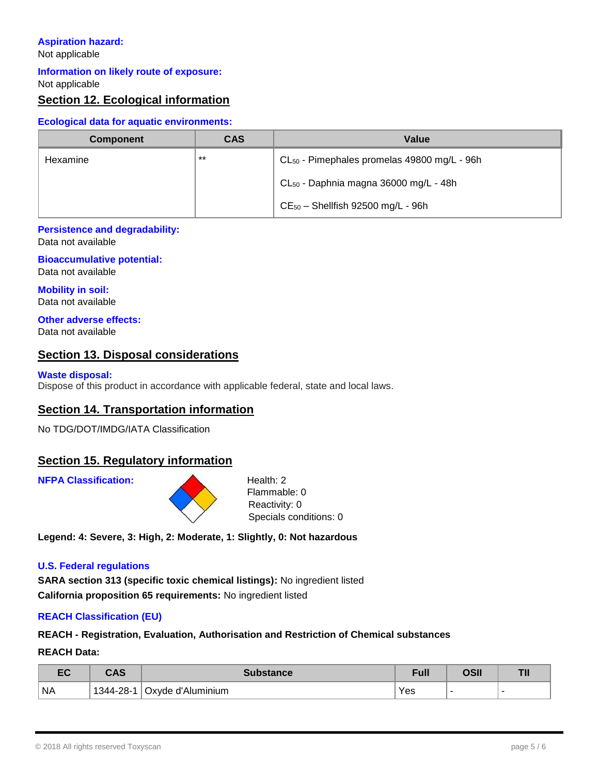## **Aspiration hazard:**

Not applicable

## **Information on likely route of exposure:**

Not applicable

## **Section 12. Ecological information**

## **Ecological data for aquatic environments:**

| <b>Component</b> | <b>CAS</b> | Value                                                   |
|------------------|------------|---------------------------------------------------------|
| Hexamine         | $***$      | CL <sub>50</sub> - Pimephales promelas 49800 mg/L - 96h |
|                  |            | CL <sub>50</sub> - Daphnia magna 36000 mg/L - 48h       |
|                  |            | $CE_{50}$ - Shellfish 92500 mg/L - 96h                  |

## **Persistence and degradability:**

Data not available

#### **Bioaccumulative potential:** Data not available

**Mobility in soil:** Data not available

## **Other adverse effects:**

Data not available

## **Section 13. Disposal considerations**

## **Waste disposal:**

Dispose of this product in accordance with applicable federal, state and local laws.

## **Section 14. Transportation information**

No TDG/DOT/IMDG/IATA Classification

## **Section 15. Regulatory information**

**NFPA Classification:** Health: 2



Flammable: 0 Reactivity: 0 Specials conditions: 0

**Legend: 4: Severe, 3: High, 2: Moderate, 1: Slightly, 0: Not hazardous**

#### **U.S. Federal regulations**

**SARA section 313 (specific toxic chemical listings):** No ingredient listed **California proposition 65 requirements:** No ingredient listed

## **REACH Classification (EU)**

## **REACH - Registration, Evaluation, Authorisation and Restriction of Chemical substances**

#### **REACH Data:**

| $ \sim$<br>cu | CAC                                            | ıbstance          | <b>Full</b> | יימה | -- |
|---------------|------------------------------------------------|-------------------|-------------|------|----|
| <b>NA</b>     | $-28-$<br>$1344 -$<br>$\overline{\phantom{a}}$ | Oxyde d'Aluminium | Yes         |      |    |